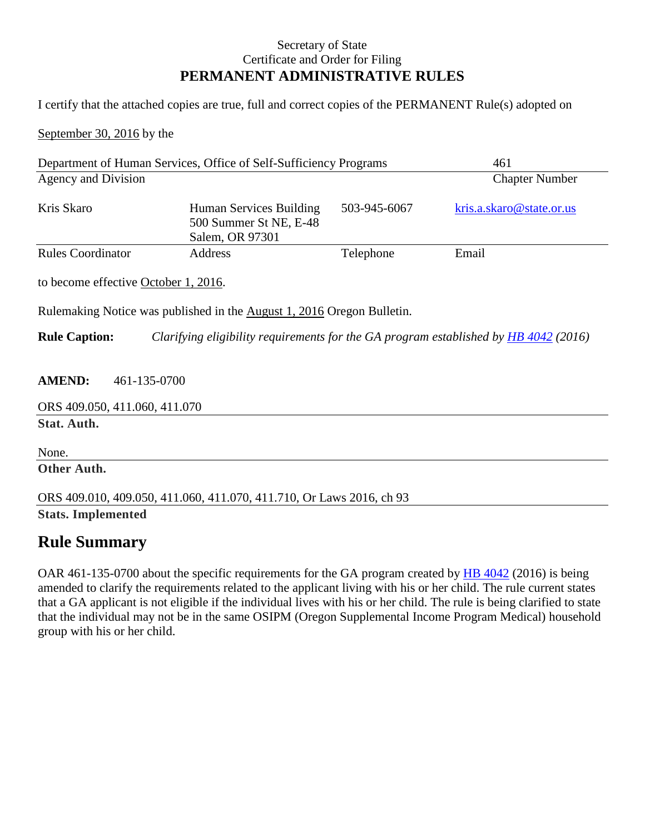## Secretary of State Certificate and Order for Filing **PERMANENT ADMINISTRATIVE RULES**

I certify that the attached copies are true, full and correct copies of the PERMANENT Rule(s) adopted on

September 30, 2016 by the

| Department of Human Services, Office of Self-Sufficiency Programs                                                   |                                                                      |              | 461                      |
|---------------------------------------------------------------------------------------------------------------------|----------------------------------------------------------------------|--------------|--------------------------|
| Agency and Division                                                                                                 |                                                                      |              | <b>Chapter Number</b>    |
| Kris Skaro                                                                                                          | Human Services Building<br>500 Summer St NE, E-48<br>Salem, OR 97301 | 503-945-6067 | kris.a.skaro@state.or.us |
| <b>Rules Coordinator</b>                                                                                            | Address                                                              | Telephone    | Email                    |
| to become effective October 1, 2016.                                                                                |                                                                      |              |                          |
| Rulemaking Notice was published in the August 1, 2016 Oregon Bulletin.                                              |                                                                      |              |                          |
| <b>Rule Caption:</b><br>Clarifying eligibility requirements for the GA program established by <b>HB</b> 4042 (2016) |                                                                      |              |                          |
| <b>AMEND:</b><br>461-135-0700                                                                                       |                                                                      |              |                          |
| ORS 409.050, 411.060, 411.070                                                                                       |                                                                      |              |                          |
| Stat. Auth.                                                                                                         |                                                                      |              |                          |
| None.                                                                                                               |                                                                      |              |                          |
| Other Auth.                                                                                                         |                                                                      |              |                          |
| ORS 409.010, 409.050, 411.060, 411.070, 411.710, Or Laws 2016, ch 93                                                |                                                                      |              |                          |
| <b>Stats. Implemented</b>                                                                                           |                                                                      |              |                          |

## **Rule Summary**

OAR 461-135-0700 about the specific requirements for the GA program created by **HB** 4042 (2016) is being amended to clarify the requirements related to the applicant living with his or her child. The rule current states that a GA applicant is not eligible if the individual lives with his or her child. The rule is being clarified to state that the individual may not be in the same OSIPM (Oregon Supplemental Income Program Medical) household group with his or her child.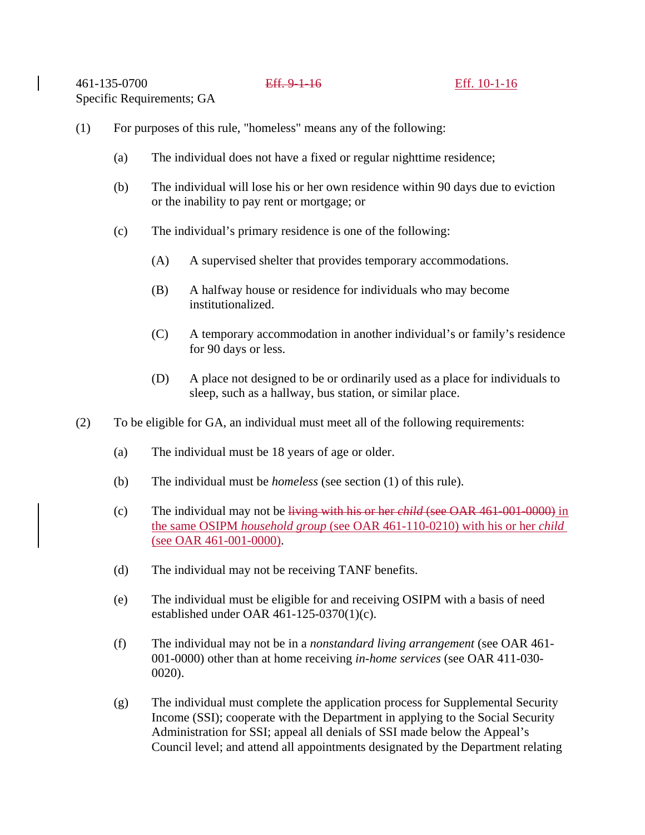- (1) For purposes of this rule, "homeless" means any of the following:
	- (a) The individual does not have a fixed or regular nighttime residence;
	- (b) The individual will lose his or her own residence within 90 days due to eviction or the inability to pay rent or mortgage; or
	- (c) The individual's primary residence is one of the following:
		- (A) A supervised shelter that provides temporary accommodations.
		- (B) A halfway house or residence for individuals who may become institutionalized.
		- (C) A temporary accommodation in another individual's or family's residence for 90 days or less.
		- (D) A place not designed to be or ordinarily used as a place for individuals to sleep, such as a hallway, bus station, or similar place.
- (2) To be eligible for GA, an individual must meet all of the following requirements:
	- (a) The individual must be 18 years of age or older.
	- (b) The individual must be *homeless* (see section (1) of this rule).
	- (c) The individual may not be living with his or her *child* (see OAR 461-001-0000) in the same OSIPM *household group* (see OAR 461-110-0210) with his or her *child*  (see OAR 461-001-0000).
	- (d) The individual may not be receiving TANF benefits.
	- (e) The individual must be eligible for and receiving OSIPM with a basis of need established under OAR 461-125-0370(1)(c).
	- (f) The individual may not be in a *nonstandard living arrangement* (see OAR 461- 001-0000) other than at home receiving *in-home services* (see OAR 411-030- 0020).
	- (g) The individual must complete the application process for Supplemental Security Income (SSI); cooperate with the Department in applying to the Social Security Administration for SSI; appeal all denials of SSI made below the Appeal's Council level; and attend all appointments designated by the Department relating